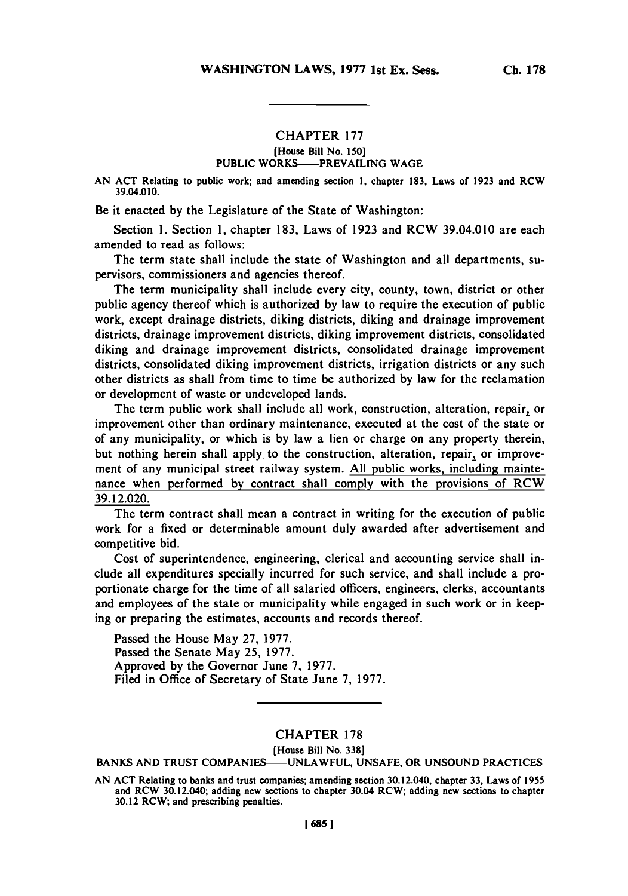### CHAPTER **177**

# [House Bill No. **150]**

# **PUBLIC** WORKS-PREVAILING **WAGE**

**AN ACT** Relating to public work; and amending section **1,** chapter **183,** Laws of **1923** and RCW 39.04.010.

Be it enacted **by** the Legislature of the State of Washington:

Section **1.** Section **1,** chapter **183,** Laws of **1923** and RCW 39.04.010 are each amended to read as follows:

The term state shall include the state of Washington and all departments, supervisors, commissioners and agencies thereof.

The term municipality shall include every city, county, town, district or other public agency thereof which is authorized **by** law to require the execution of public work, except drainage districts, diking districts, diking and drainage improvement districts, drainage improvement districts, diking improvement districts, consolidated diking and drainage improvement districts, consolidated drainage improvement districts, consolidated diking improvement districts, irrigation districts or any such other districts as shall from time to time be authorized **by** law for the reclamation or development of waste or undeveloped lands.

The term public work shall include all work, construction, alteration, repair, or improvement other than ordinary maintenance, executed at the cost of the state or of any municipality, or which is **by** law a lien or charge on any property therein, but nothing herein shall apply, to the construction, alteration, repair, or improvement of any municipal street railway system. **All** public works, including maintenance when performed **by** contract shall comply with the provisions of RCW **39.12.020.**

The term contract shall mean a contract in writing for the execution of public work for a fixed or determinable amount duly awarded after advertisement and competitive bid.

Cost of superintendence, engineering, clerical and accounting service shall include all expenditures specially incurred for such service, and shall include a proportionate charge for the time of all salaried officers, engineers, clerks, accountants and employees of the state or municipality while engaged in such work or in keeping or preparing the estimates, accounts and records thereof.

Passed the House May **27, 1977.** Passed the Senate May **25, 1977.** Approved **by** the Governor June **7, 1977.** Filed in Office of Secretary of State June **7, 1977.**

### CHAPTER **178**

[House Bill No. **338]**

**BANKS AND** TRUST **COMPANIES-UNLAWFUL, UNSAFE,** OR **UNSOUND** PRACTICES

**AN ACT** Relating to banks and trust companies; amending section 30.12.040, chapter **33,** Laws of **1955** and RCW 30.12.040; adding new sections to chapter 30.04 RCW; adding new sections to chapter **30.12** RCW; and prescribing penalties.

**Ch. 178**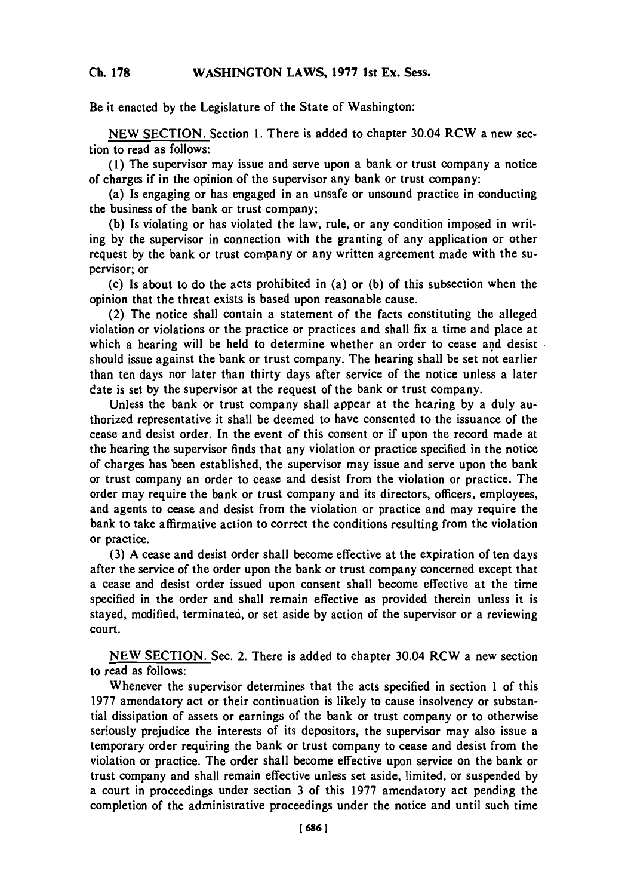#### **Ch 178WASHINGTON LAWS, 1977 1st Ex.** Sess. **Ch. 178**

Be it enacted **by** the Legislature of the State of Washington:

**NEW SECTION.** Section **1.** There is added to chapter 30.04 RCW a new section to read as follows:

**(1)** The supervisor may issue and serve upon a bank or trust company a notice of charges if in the opinion of the supervisor any bank or trust company:

(a) Is engaging or has engaged in an unsafe or unsound practice in conducting the business of the bank or trust company;

**(b)** Is violating or has violated the law, rule, or any condition imposed in writing **by** the supervisor in connection with the granting of any application or other request **by** the bank or trust company or any written agreement made with the supervisor; or

(c) Is about to do the acts prohibited in (a) or **(b)** of this subsection when the opinion that the threat exists is based upon reasonable cause.

(2) The notice shall contain a statement of the facts constituting the alleged violation or violations or the practice or practices and shall fix a time and place at which a hearing will be held to determine whether an order to cease and desist should issue against the bank or trust company. The hearing shall be set not earlier than ten days nor later than thirty days after service of the notice unless a later date is set by the supervisor at the request of the bank or trust company.

Unless the bank or trust company shall appear at the hearing **by** a duly authorized representative it shall be deemed to have consented to the issuance of the cease and desist order. In the event of this consent or if upon the record made at the hearing the supervisor finds that any violation or practice specified in the notice of charges has been established, the supervisor may issue and serve upon the bank or trust company an order to cease and desist from the violation or practice. The order may require the bank or trust company and its directors, officers, employees, and agents to cease and desist from the violation or practice and may require the bank to take affirmative action to correct the conditions resulting from the violation or practice.

**(3) A** cease and desist order shall become effective at the expiration of ten days after the service of the order upon the bank or trust company concerned except that a cease and desist order issued upon consent shall become effective at the time specified in the order and shall remain effective as provided therein unless it is stayed, modified, terminated, or set aside **by** action of the supervisor or a reviewing court.

**NEW** SECTION. Sec. 2. There is added to chapter 30.04 RCW a new section to read as follows:

Whenever the supervisor determines that the acts specified in section 1 of this **1977** amendatory act or their continuation is likely to cause insolvency or substantial dissipation of assets or earnings of the bank or trust company or to otherwise seriously prejudice the interests of its depositors, the supervisor may also issue a temporary order requiring the bank or trust company to cease and desist from the violation or practice. The order shall become effective upon service on the bank or trust company and shall remain effective unless set aside, limited, or suspended **by** a court in proceedings under section **3** of this **1977** amendatory act pending the completion of the administrative proceedings under the notice and until such time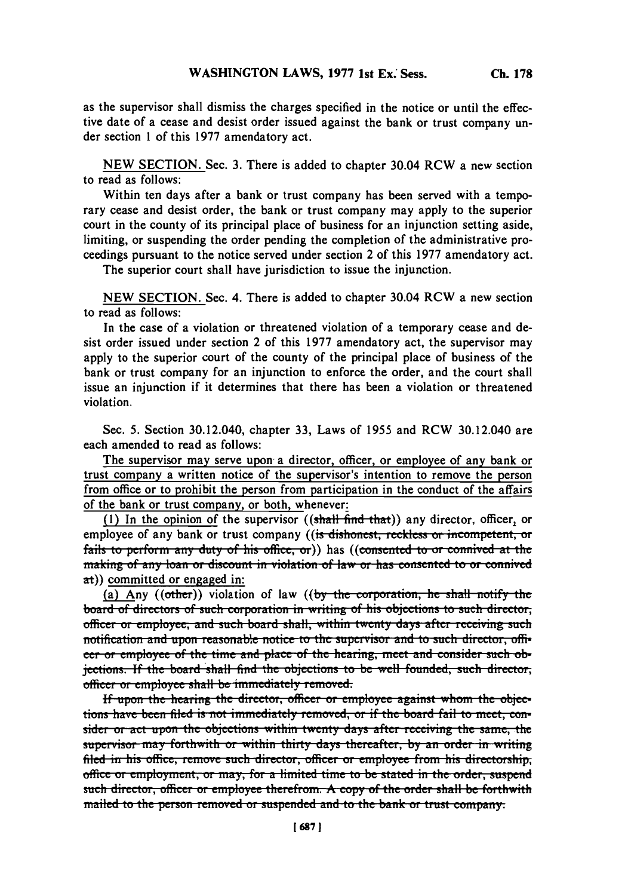**as the** supervisor shall dismiss the charges specified in the notice or until the effective date of a cease and desist order issued against the bank or trust company under section 1 of this **1977** amendatory act.

**NEW SECTION.** Sec. **3.** There is added to chapter 30.04 RCW a new section to read as follows:

Within ten days after a bank or trust company has been served with a temporary cease and desist order, the bank or trust company may apply to the superior court in the county of its principal place of business for an injunction setting aside, limiting, or suspending the order pending the completion of the administrative proceedings pursuant to the notice served under section 2 of this **1977** amendatory act.

The superior court shall have jurisdiction to issue the injunction.

**NEW** SECTION. Sec. 4. There is added to chapter 30.04 RCW a new section to read as follows:

In the case of a violation or threatened violation of a temporary cease and desist order issued under section 2 of this **1977** amendatory act, the supervisor may apply to the superior court of the county of the principal place of business of the bank or trust company for an injunction to enforce the order, and the court shall issue an injunction if it determines that there has been a violation or threatened violation.

Sec. **5.** Section 30.12.040, chapter **33,** Laws of **1955** and RCW 30.12.040 are each amended to read as follows:

The supervisor may serve upon a director, officer, or employee of any bank or trust company a written notice of the supervisor's intention to remove the person from office or to prohibit the person from participation in the conduct of the affairs of the bank or trust company, or both, whenever:

(1) In the opinion of the supervisor ((shall find that)) any director, officer, or employee of any bank or trust company ((is dishonest, reckless or incompetent, or fails to perform any duty of his office, or)) has ((consented to or connived at the making of any loan or discount in violation of law or has consented to or connived at)) committed or engaged in:

(a) Any ((other)) violation of law ((by the corporation, he shall notify the board of directors of such corporation in writing of his objections to such director officer or employee, and such board shall, within twenty days after receiving such **notification and upon reasonable notice to the supervisor and to such director, offi**eer or employee of the time and place of the hearing, meet and consider such ob-<br>jections. If the board shall find the objections to be well founded, such director, officer or employee shall be immediately removed.

If upon the hearing the director, officer or employee against whom the objections have been filed is not immediately removed, or if the board fail to meet, consider or act upon the objections within twenty days after receiving the same, the. *supervisor* may forthwith or within thirty days thereafter, by an order in writing filed in his office, remove such director, officer or employee from his directorship, office or employment, or may, for a limited time to be stated in the order, suspend such director, officer or employee therefrom. A copy of the order shall be forthwith mailed to the person removed or suspended and to the bank or trust company.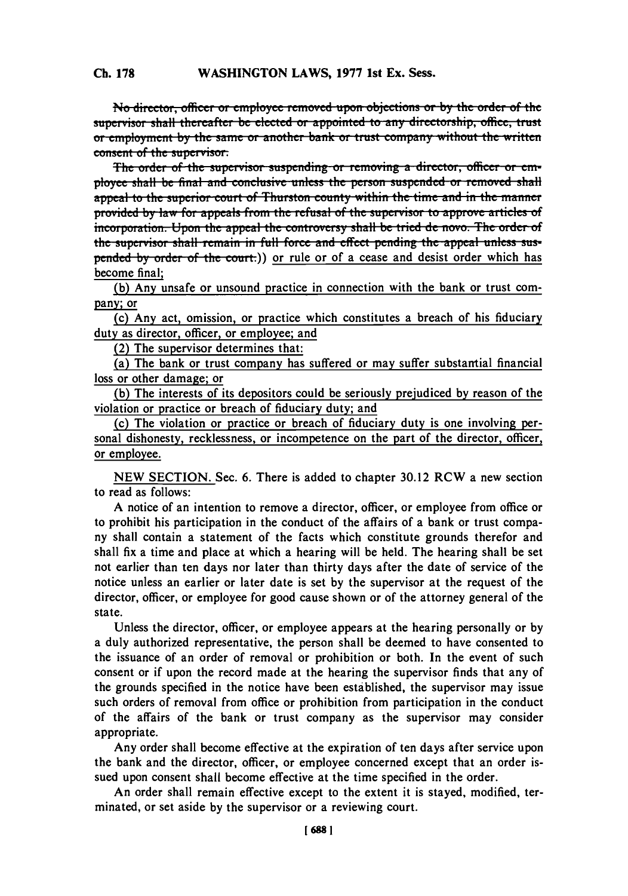No director, officer or employee removed upon objections or by the order of the supervisor shall thereafter be elected or appointed to any directorship, office, trust or employment by the same or another bank or trust company without the written consent of the supervisor.

The order of the supervisor suspending or removing a director, officer or employee shall be final and conclusive unless the person suspended or removed shall appeal to the superior court of Thurston county within the time and in the manner provided by law for appeals from the refusal of the supervisor to approve articles of incorporation. Upon the appeal the controversy shall be tried de novo. The order of the supervisor shall remain in full force and effect pending the appeal unless suspended by order of the court.)) or rule or of a cease and desist order which has become final;

(b) Any unsafe or unsound practice in connection with the bank or trust company; or

(c) Any act, omission, or practice which constitutes a breach of his fiduciary duty as director, officer, or employee; and

(2) The supervisor determines that:

(a) The bank or trust company has suffered or may suffer substantial financial loss or other damage; or

(b) The interests of its depositors could be seriously prejudiced by reason of the violation or practice or breach of fiduciary duty; and

(c) The violation or practice or breach of fiduciary duty is one involving personal dishonesty, recklessness, or incompetence on the part of the director, officer, or employee.

NEW SECTION. Sec. 6. There is added to chapter 30.12 RCW a new section to read as follows:

A notice of an intention to remove a director, officer, or employee from office or to prohibit his participation in the conduct of the affairs of a bank or trust company shall contain a statement of the facts which constitute grounds therefor and shall fix a time and place at which a hearing will be held. The hearing shall be set not earlier than ten days nor later than thirty days after the date of service of the notice unless an earlier or later date is set by the supervisor at the request of the director, officer, or employee for good cause shown or of the attorney general of the state.

Unless the director, officer, or employee appears at the hearing personally or by a duly authorized representative, the person shall be deemed to have consented to the issuance of an order of removal or prohibition or both. In the event of such consent or if upon the record made at the hearing the supervisor finds that any of the grounds specified in the notice have been established, the supervisor may issue such orders of removal from office or prohibition from participation in the conduct of the affairs of the bank or trust company as the supervisor may consider appropriate.

Any order shall become effective at the expiration of ten days after service upon the bank and the director, officer, or employee concerned except that an order issued upon consent shall become effective at the time specified in the order.

An order shall remain effective except to the extent it is stayed, modified, terminated, or set aside by the supervisor or a reviewing court.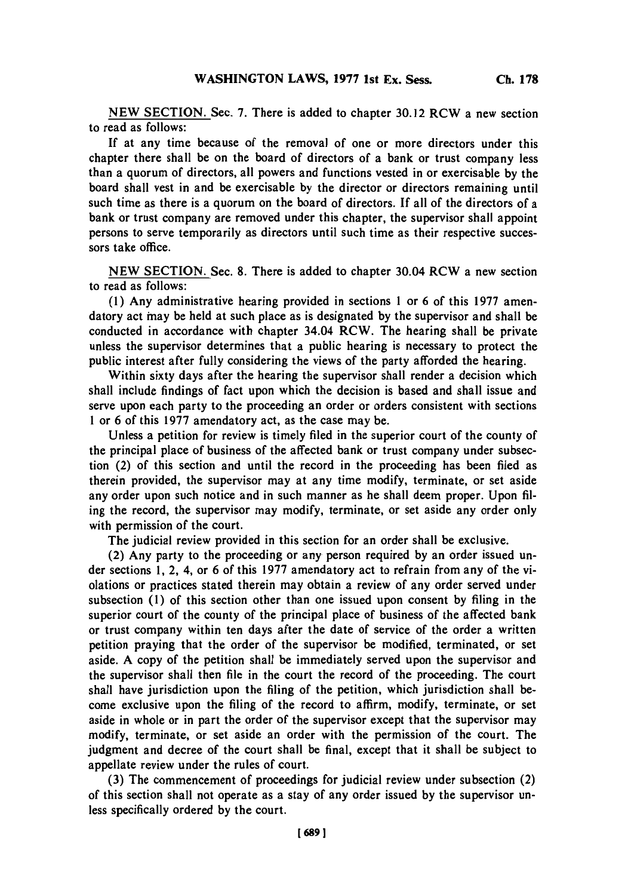**Ch. 178**

**NEW SECTION. Sec. 7. There is added to chapter 30.12 RCW a new section to read as follows:**

**If at any** time because of the removal of one or more directors under this chapter there shall be on the board of directors of a bank or trust company less than a quorum of directors, all powers and functions vested in or exercisable **by** the board shall vest in and be exercisable **by** the director or directors remaining until such time as there is a quorum on the board of directors. **If** all of the directors of a bank or trust company are removed under this chapter, the supervisor shall appoint persons to serve temporarily as directors until such time as their respective successors take office.

**NEW** SECTION. Sec. **8.** There is added to chapter 30.04 RCW a new section to read as follows:

**(1)** Any administrative hearing provided in sections 1 or **6** of this **1977** amendatory act may be held at such place as is designated **by** the supervisor and shall be conducted in accordance with chapter 34.04 RCW. The hearing shall be private unless the supervisor determines that a public hearing is necessary to protect the public interest after fully considering the views of the party afforded the hearing.

Within sixty days after the hearing the supervisor shall render a decision which shall include findings of fact upon which the decision is based and shall issue and serve upon each party to the proceeding an order or orders consistent with sections 1 or **6** of this **1977** amendatory act, as the case may be.

Unless a petition for review is timely filed in the superior court of the county of the principal place of business of the affected bank or trust company under subsection (2) of this section and until the record in the proceeding has been filed as therein provided, the supervisor may at any time modify, terminate, or set aside any order upon such notice and in such manner as he shall deem proper. Upon **fil**ing the record, the supervisor may modify, terminate, or set aside any order only with permission of the court.

The judicial review provided in this section for an order shall be exclusive.

(2) Any party to the proceeding or any person required **by** an order issued under sections **1,** 2, 4, or **6** of this **1977** amendatory act to refrain from any of the violations or practices stated therein may obtain a review of any order served under subsection **(1)** of this section other than one issued upon consent **by** filing in the superior court of the county of the principal place of business of the affected bank or trust company within ten days after the date of service of the order a written petition praying that the order of the supervisor be modified, terminated, or set aside. **A** copy of the petition shall be immediately served upon the supervisor and the supervisor shall then file in the court the record of the proceeding. The court shall have jurisdiction upon the filing of the petition, which jurisdiction shall become exclusive upon the filing of the record to affirm, modify, terminate, or set aside in whole or in part the order of the supervisor except that the supervisor may modify, terminate, or set aside an order with the permission of the court. The judgment and decree of the court shall be final, except that it shall be subject to appellate review under the rules of court.

**(3)** The commencement of proceedings for judicial review under subsection (2) of this section shall not operate as a stay of any order issued **by** the supervisor unless specifically ordered **by** the court.